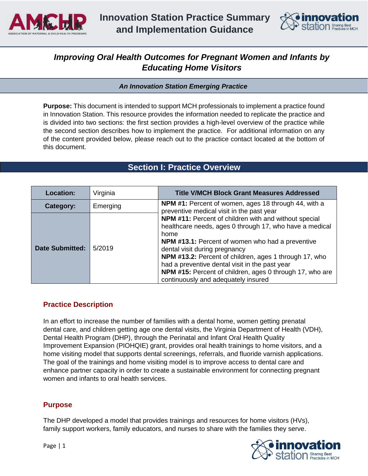



# *Improving Oral Health Outcomes for Pregnant Women and Infants by Educating Home Visitors*

*An Innovation Station Emerging Practice* 

**Purpose:** This document is intended to support MCH professionals to implement a practice found in Innovation Station. This resource provides the information needed to replicate the practice and is divided into two sections: the first section provides a high-level overview of the practice while the second section describes how to implement the practice. For additional information on any of the content provided below, please reach out to the practice contact located at the bottom of this document.

| Section I: Practice Overview |  |
|------------------------------|--|
|                              |  |

| <b>Location:</b>       | Virginia | <b>Title V/MCH Block Grant Measures Addressed</b>                                                                                                                                                                                                                                                                                                                                                                                   |
|------------------------|----------|-------------------------------------------------------------------------------------------------------------------------------------------------------------------------------------------------------------------------------------------------------------------------------------------------------------------------------------------------------------------------------------------------------------------------------------|
| Category:              | Emerging | NPM #1: Percent of women, ages 18 through 44, with a<br>preventive medical visit in the past year                                                                                                                                                                                                                                                                                                                                   |
| <b>Date Submitted:</b> | 5/2019   | NPM #11: Percent of children with and without special<br>healthcare needs, ages 0 through 17, who have a medical<br>home<br><b>NPM #13.1:</b> Percent of women who had a preventive<br>dental visit during pregnancy<br>NPM #13.2: Percent of children, ages 1 through 17, who<br>had a preventive dental visit in the past year<br>NPM #15: Percent of children, ages 0 through 17, who are<br>continuously and adequately insured |

# **Practice Description**

In an effort to increase the number of families with a dental home, women getting prenatal dental care, and children getting age one dental visits, the Virginia Department of Health (VDH), Dental Health Program (DHP), through the Perinatal and Infant Oral Health Quality Improvement Expansion (PIOHQIE) grant, provides oral health trainings to home visitors, and a home visiting model that supports dental screenings, referrals, and fluoride varnish applications. The goal of the trainings and home visiting model is to improve access to dental care and enhance partner capacity in order to create a sustainable environment for connecting pregnant women and infants to oral health services.

## **Purpose**

The DHP developed a model that provides trainings and resources for home visitors (HVs), family support workers, family educators, and nurses to share with the families they serve.

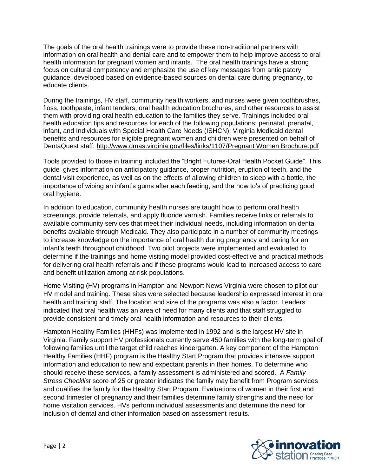The goals of the oral health trainings were to provide these non-traditional partners with information on oral health and dental care and to empower them to help improve access to oral health information for pregnant women and infants. The oral health trainings have a strong focus on cultural competency and emphasize the use of key messages from anticipatory guidance, developed based on evidence-based sources on dental care during pregnancy, to educate clients.

During the trainings, HV staff, community health workers, and nurses were given toothbrushes, floss, toothpaste, infant tenders, oral health education brochures, and other resources to assist them with providing oral health education to the families they serve. Trainings included oral health education tips and resources for each of the following populations: perinatal, prenatal, infant, and Individuals with Special Health Care Needs (ISHCN); Virginia Medicaid dental benefits and resources for eligible pregnant women and children were presented on behalf of DentaQuest staff. [http://www.dmas.virginia.gov/files/links/1107/Pregnant Women Brochure.pdf](http://www.dmas.virginia.gov/files/links/1107/Pregnant%20Women%20Brochure.pdf)

Tools provided to those in training included the "Bright Futures-Oral Health Pocket Guide". This guide gives information on anticipatory guidance, proper nutrition, eruption of teeth, and the dental visit experience, as well as on the effects of allowing children to sleep with a bottle, the importance of wiping an infant's gums after each feeding, and the how to's of practicing good oral hygiene.

In addition to education, community health nurses are taught how to perform oral health screenings, provide referrals, and apply fluoride varnish. Families receive links or referrals to available community services that meet their individual needs, including information on dental benefits available through Medicaid. They also participate in a number of community meetings to increase knowledge on the importance of oral health during pregnancy and caring for an infant's teeth throughout childhood. Two pilot projects were implemented and evaluated to determine if the trainings and home visiting model provided cost-effective and practical methods for delivering oral health referrals and if these programs would lead to increased access to care and benefit utilization among at-risk populations.

Home Visiting (HV) programs in Hampton and Newport News Virginia were chosen to pilot our HV model and training. These sites were selected because leadership expressed interest in oral health and training staff. The location and size of the programs was also a factor. Leaders indicated that oral health was an area of need for many clients and that staff struggled to provide consistent and timely oral health information and resources to their clients.

Hampton Healthy Families (HHFs) was implemented in 1992 and is the largest HV site in Virginia. Family support HV professionals currently serve 450 families with the long-term goal of following families until the target child reaches kindergarten. A key component of the Hampton Healthy Families (HHF) program is the Healthy Start Program that provides intensive support information and education to new and expectant parents in their homes. To determine who should receive these services, a family assessment is administered and scored. A *Family Stress Checklist* score of 25 or greater indicates the family may benefit from Program services and qualifies the family for the Healthy Start Program. Evaluations of women in their first and second trimester of pregnancy and their families determine family strengths and the need for home visitation services. HVs perform individual assessments and determine the need for inclusion of dental and other information based on assessment results.

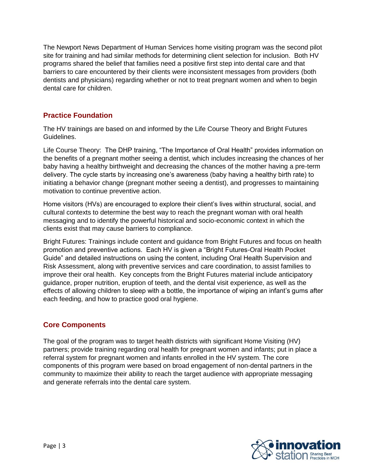The Newport News Department of Human Services home visiting program was the second pilot site for training and had similar methods for determining client selection for inclusion. Both HV programs shared the belief that families need a positive first step into dental care and that barriers to care encountered by their clients were inconsistent messages from providers (both dentists and physicians) regarding whether or not to treat pregnant women and when to begin dental care for children.

# **Practice Foundation**

The HV trainings are based on and informed by the Life Course Theory and Bright Futures Guidelines.

Life Course Theory: The DHP training, "The Importance of Oral Health" provides information on the benefits of a pregnant mother seeing a dentist, which includes increasing the chances of her baby having a healthy birthweight and decreasing the chances of the mother having a pre-term delivery. The cycle starts by increasing one's awareness (baby having a healthy birth rate) to initiating a behavior change (pregnant mother seeing a dentist), and progresses to maintaining motivation to continue preventive action.

Home visitors (HVs) are encouraged to explore their client's lives within structural, social, and cultural contexts to determine the best way to reach the pregnant woman with oral health messaging and to identify the powerful historical and socio-economic context in which the clients exist that may cause barriers to compliance.

Bright Futures: Trainings include content and guidance from Bright Futures and focus on health promotion and preventive actions. Each HV is given a "Bright Futures-Oral Health Pocket Guide" and detailed instructions on using the content, including Oral Health Supervision and Risk Assessment, along with preventive services and care coordination, to assist families to improve their oral health. Key concepts from the Bright Futures material include anticipatory guidance, proper nutrition, eruption of teeth, and the dental visit experience, as well as the effects of allowing children to sleep with a bottle, the importance of wiping an infant's gums after each feeding, and how to practice good oral hygiene.

# **Core Components**

The goal of the program was to target health districts with significant Home Visiting (HV) partners; provide training regarding oral health for pregnant women and infants; put in place a referral system for pregnant women and infants enrolled in the HV system. The core components of this program were based on broad engagement of non-dental partners in the community to maximize their ability to reach the target audience with appropriate messaging and generate referrals into the dental care system.

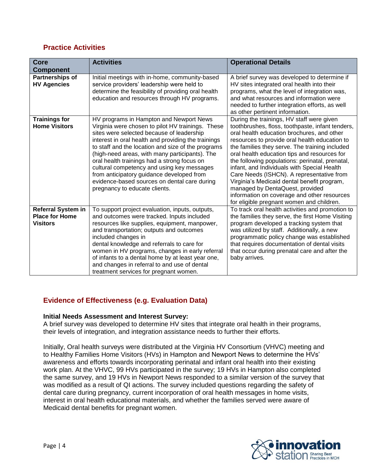# **Practice Activities**

| <b>Core</b><br><b>Component</b>                                       | <b>Activities</b>                                                                                                                                                                                                                                                                                                                                                                                                                                                                                                                   | <b>Operational Details</b>                                                                                                                                                                                                                                                                                                                                                                                                                                                                                                                                                                                                  |
|-----------------------------------------------------------------------|-------------------------------------------------------------------------------------------------------------------------------------------------------------------------------------------------------------------------------------------------------------------------------------------------------------------------------------------------------------------------------------------------------------------------------------------------------------------------------------------------------------------------------------|-----------------------------------------------------------------------------------------------------------------------------------------------------------------------------------------------------------------------------------------------------------------------------------------------------------------------------------------------------------------------------------------------------------------------------------------------------------------------------------------------------------------------------------------------------------------------------------------------------------------------------|
| Partnerships of<br><b>HV Agencies</b>                                 | Initial meetings with in-home, community-based<br>service providers' leadership were held to<br>determine the feasibility of providing oral health<br>education and resources through HV programs.                                                                                                                                                                                                                                                                                                                                  | A brief survey was developed to determine if<br>HV sites integrated oral health into their<br>programs, what the level of integration was,<br>and what resources and information were<br>needed to further integration efforts, as well<br>as other pertinent information.                                                                                                                                                                                                                                                                                                                                                  |
| <b>Trainings for</b><br><b>Home Visitors</b>                          | HV programs in Hampton and Newport News<br>Virginia were chosen to pilot HV trainings. These<br>sites were selected because of leadership<br>interest in oral health and providing the trainings<br>to staff and the location and size of the programs<br>(high-need areas, with many participants). The<br>oral health trainings had a strong focus on<br>cultural competency and using key messages<br>from anticipatory guidance developed from<br>evidence-based sources on dental care during<br>pregnancy to educate clients. | During the trainings, HV staff were given<br>toothbrushes, floss, toothpaste, infant tenders,<br>oral health education brochures, and other<br>resources to provide oral health education to<br>the families they serve. The training included<br>oral health education tips and resources for<br>the following populations: perinatal, prenatal,<br>infant, and Individuals with Special Health<br>Care Needs (ISHCN). A representative from<br>Virginia's Medicaid dental benefit program,<br>managed by DentaQuest, provided<br>information on coverage and other resources<br>for eligible pregnant women and children. |
| <b>Referral System in</b><br><b>Place for Home</b><br><b>Visitors</b> | To support project evaluation, inputs, outputs,<br>and outcomes were tracked. Inputs included<br>resources like supplies, equipment, manpower,<br>and transportation; outputs and outcomes<br>included changes in<br>dental knowledge and referrals to care for<br>women in HV programs, changes in early referral<br>of infants to a dental home by at least year one,<br>and changes in referral to and use of dental<br>treatment services for pregnant women.                                                                   | To track oral health activities and promotion to<br>the families they serve, the first Home Visiting<br>program developed a tracking system that<br>was utilized by staff. Additionally, a new<br>programmatic policy change was established<br>that requires documentation of dental visits<br>that occur during prenatal care and after the<br>baby arrives.                                                                                                                                                                                                                                                              |

# **Evidence of Effectiveness (e.g. Evaluation Data)**

#### **Initial Needs Assessment and Interest Survey:**

A brief survey was developed to determine HV sites that integrate oral health in their programs, their levels of integration, and integration assistance needs to further their efforts.

Initially, Oral health surveys were distributed at the Virginia HV Consortium (VHVC) meeting and to Healthy Families Home Visitors (HVs) in Hampton and Newport News to determine the HVs' awareness and efforts towards incorporating perinatal and infant oral health into their existing work plan. At the VHVC, 99 HVs participated in the survey; 19 HVs in Hampton also completed the same survey, and 19 HVs in Newport News responded to a similar version of the survey that was modified as a result of QI actions. The survey included questions regarding the safety of dental care during pregnancy, current incorporation of oral health messages in home visits, interest in oral health educational materials, and whether the families served were aware of Medicaid dental benefits for pregnant women.

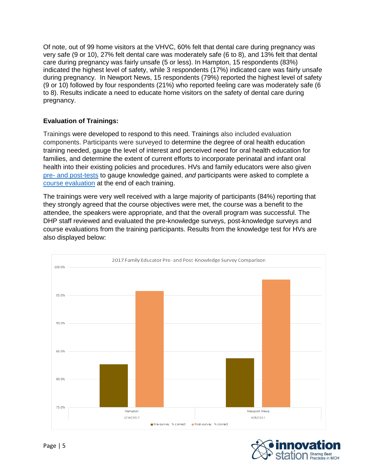Of note, out of 99 home visitors at the VHVC, 60% felt that dental care during pregnancy was very safe (9 or 10), 27% felt dental care was moderately safe (6 to 8), and 13% felt that dental care during pregnancy was fairly unsafe (5 or less). In Hampton, 15 respondents (83%) indicated the highest level of safety, while 3 respondents (17%) indicated care was fairly unsafe during pregnancy. In Newport News, 15 respondents (79%) reported the highest level of safety (9 or 10) followed by four respondents (21%) who reported feeling care was moderately safe (6 to 8). Results indicate a need to educate home visitors on the safety of dental care during pregnancy.

## **Evaluation of Trainings:**

Trainings were developed to respond to this need. Trainings also included evaluation components. Participants were surveyed to determine the degree of oral health education training needed, gauge the level of interest and perceived need for oral health education for families, and determine the extent of current efforts to incorporate perinatal and infant oral health into their existing policies and procedures. HVs and family educators were also given pre- [and post-tests](http://www.amchp.org/programsandtopics/BestPractices/InnovationStation/Documents/VA%20Oral%20Health%20Pre-Post%20Test.pdf) to gauge knowledge gained, *and* participants were asked to complete a [course evaluation](http://www.amchp.org/programsandtopics/BestPractices/InnovationStation/Documents/VA%20oral%20health%20course%20evaluation.pdf) at the end of each training.

The trainings were very well received with a large majority of participants (84%) reporting that they strongly agreed that the course objectives were met, the course was a benefit to the attendee, the speakers were appropriate, and that the overall program was successful. The DHP staff reviewed and evaluated the pre-knowledge surveys, post-knowledge surveys and course evaluations from the training participants. Results from the knowledge test for HVs are also displayed below:



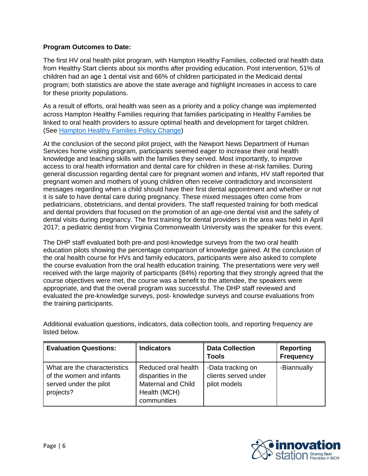### **Program Outcomes to Date:**

The first HV oral health pilot program, with Hampton Healthy Families, collected oral health data from Healthy Start clients about six months after providing education. Post intervention, 51% of children had an age 1 dental visit and 66% of children participated in the Medicaid dental program; both statistics are above the state average and highlight increases in access to care for these priority populations.

As a result of efforts, oral health was seen as a priority and a policy change was implemented across Hampton Healthy Families requiring that families participating in Healthy Families be linked to oral health providers to assure optimal health and development for target children. (See [Hampton Healthy Families Policy Change\)](http://www.amchp.org/programsandtopics/BestPractices/InnovationStation/Documents/VA%20oral%20health%20Hampton%20Healthy%20Families%20Policy%20Change.pdf)

At the conclusion of the second pilot project, with the Newport News Department of Human Services home visiting program, participants seemed eager to increase their oral health knowledge and teaching skills with the families they served. Most importantly, to improve access to oral health information and dental care for children in these at-risk families. During general discussion regarding dental care for pregnant women and infants, HV staff reported that pregnant women and mothers of young children often receive contradictory and inconsistent messages regarding when a child should have their first dental appointment and whether or not it is safe to have dental care during pregnancy. These mixed messages often come from pediatricians, obstetricians, and dental providers. The staff requested training for both medical and dental providers that focused on the promotion of an age-one dental visit and the safety of dental visits during pregnancy. The first training for dental providers in the area was held in April 2017; a pediatric dentist from Virginia Commonwealth University was the speaker for this event.

The DHP staff evaluated both pre-and post-knowledge surveys from the two oral health education pilots showing the percentage comparison of knowledge gained. At the conclusion of the oral health course for HVs and family educators, participants were also asked to complete the course evaluation from the oral health education training. The presentations were very well received with the large majority of participants (84%) reporting that they strongly agreed that the course objectives were met, the course was a benefit to the attendee, the speakers were appropriate, and that the overall program was successful. The DHP staff reviewed and evaluated the pre-knowledge surveys, post- knowledge surveys and course evaluations from the training participants.

| <b>Evaluation Questions:</b>                                                                    | <b>Indicators</b>                                                                                     | <b>Data Collection</b><br><b>Tools</b>                    | <b>Reporting</b><br><b>Frequency</b> |
|-------------------------------------------------------------------------------------------------|-------------------------------------------------------------------------------------------------------|-----------------------------------------------------------|--------------------------------------|
| What are the characteristics<br>of the women and infants<br>served under the pilot<br>projects? | Reduced oral health<br>disparities in the<br><b>Maternal and Child</b><br>Health (MCH)<br>communities | -Data tracking on<br>clients served under<br>pilot models | -Biannually                          |

Additional evaluation questions, indicators, data collection tools, and reporting frequency are listed below.

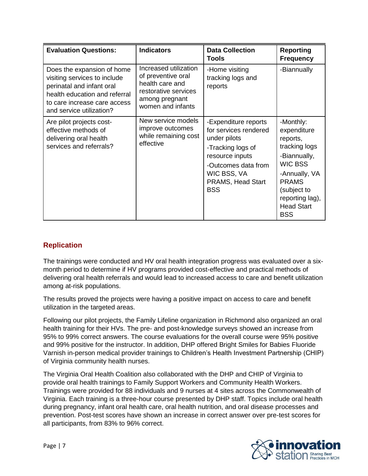| <b>Evaluation Questions:</b>                                                                                                                                                         | <b>Indicators</b>                                                                                                             | <b>Data Collection</b><br>Tools                                                                                                                                                | <b>Reporting</b><br><b>Frequency</b>                                                                                                                                                          |
|--------------------------------------------------------------------------------------------------------------------------------------------------------------------------------------|-------------------------------------------------------------------------------------------------------------------------------|--------------------------------------------------------------------------------------------------------------------------------------------------------------------------------|-----------------------------------------------------------------------------------------------------------------------------------------------------------------------------------------------|
| Does the expansion of home<br>visiting services to include<br>perinatal and infant oral<br>health education and referral<br>to care increase care access<br>and service utilization? | Increased utilization<br>of preventive oral<br>health care and<br>restorative services<br>among pregnant<br>women and infants | -Home visiting<br>tracking logs and<br>reports                                                                                                                                 | -Biannually                                                                                                                                                                                   |
| Are pilot projects cost-<br>effective methods of<br>delivering oral health<br>services and referrals?                                                                                | New service models<br>improve outcomes<br>while remaining cost<br>effective                                                   | -Expenditure reports<br>for services rendered<br>under pilots<br>-Tracking logs of<br>resource inputs<br>-Outcomes data from<br>WIC BSS, VA<br>PRAMS, Head Start<br><b>BSS</b> | -Monthly:<br>expenditure<br>reports,<br>tracking logs<br>-Biannually,<br><b>WIC BSS</b><br>-Annually, VA<br><b>PRAMS</b><br>(subject to<br>reporting lag),<br><b>Head Start</b><br><b>BSS</b> |

# **Replication**

The trainings were conducted and HV oral health integration progress was evaluated over a sixmonth period to determine if HV programs provided cost-effective and practical methods of delivering oral health referrals and would lead to increased access to care and benefit utilization among at-risk populations.

The results proved the projects were having a positive impact on access to care and benefit utilization in the targeted areas.

Following our pilot projects, the Family Lifeline organization in Richmond also organized an oral health training for their HVs. The pre- and post-knowledge surveys showed an increase from 95% to 99% correct answers. The course evaluations for the overall course were 95% positive and 99% positive for the instructor. In addition, DHP offered Bright Smiles for Babies Fluoride Varnish in-person medical provider trainings to Children's Health Investment Partnership (CHIP) of Virginia community health nurses.

The Virginia Oral Health Coalition also collaborated with the DHP and CHIP of Virginia to provide oral health trainings to Family Support Workers and Community Health Workers. Trainings were provided for 88 individuals and 9 nurses at 4 sites across the Commonwealth of Virginia. Each training is a three-hour course presented by DHP staff. Topics include oral health during pregnancy, infant oral health care, oral health nutrition, and oral disease processes and prevention. Post-test scores have shown an increase in correct answer over pre-test scores for all participants, from 83% to 96% correct.

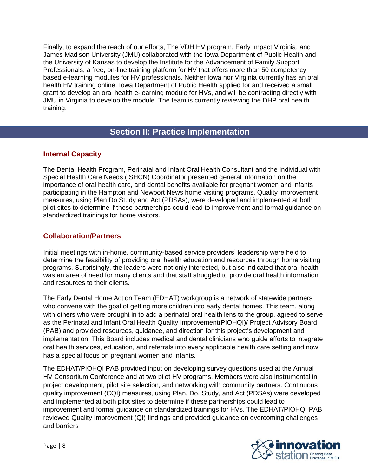Finally, to expand the reach of our efforts, The VDH HV program, Early Impact Virginia, and James Madison University (JMU) collaborated with the Iowa Department of Public Health and the University of Kansas to develop the Institute for the Advancement of Family Support Professionals, a free, on-line training platform for HV that offers more than 50 competency based e-learning modules for HV professionals. Neither Iowa nor Virginia currently has an oral health HV training online. Iowa Department of Public Health applied for and received a small grant to develop an oral health e-learning module for HVs, and will be contracting directly with JMU in Virginia to develop the module. The team is currently reviewing the DHP oral health training.

# **Section II: Practice Implementation**

## **Internal Capacity**

The Dental Health Program, Perinatal and Infant Oral Health Consultant and the Individual with Special Health Care Needs (ISHCN) Coordinator presented general information on the importance of oral health care, and dental benefits available for pregnant women and infants participating in the Hampton and Newport News home visiting programs. Quality improvement measures, using Plan Do Study and Act (PDSAs), were developed and implemented at both pilot sites to determine if these partnerships could lead to improvement and formal guidance on standardized trainings for home visitors.

# **Collaboration/Partners**

Initial meetings with in-home, community-based service providers' leadership were held to determine the feasibility of providing oral health education and resources through home visiting programs. Surprisingly, the leaders were not only interested, but also indicated that oral health was an area of need for many clients and that staff struggled to provide oral health information and resources to their clients**.**

The Early Dental Home Action Team (EDHAT) workgroup is a network of statewide partners who convene with the goal of getting more children into early dental homes. This team, along with others who were brought in to add a perinatal oral health lens to the group, agreed to serve as the Perinatal and Infant Oral Health Quality Improvement(PIOHQI)/ Project Advisory Board (PAB) and provided resources, guidance, and direction for this project's development and implementation. This Board includes medical and dental clinicians who guide efforts to integrate oral health services, education, and referrals into every applicable health care setting and now has a special focus on pregnant women and infants.

The EDHAT/PIOHQI PAB provided input on developing survey questions used at the Annual HV Consortium Conference and at two pilot HV programs. Members were also instrumental in project development, pilot site selection, and networking with community partners. Continuous quality improvement (CQI) measures, using Plan, Do, Study, and Act (PDSAs) were developed and implemented at both pilot sites to determine if these partnerships could lead to improvement and formal guidance on standardized trainings for HVs. The EDHAT/PIOHQI PAB reviewed Quality Improvement (QI) findings and provided guidance on overcoming challenges and barriers

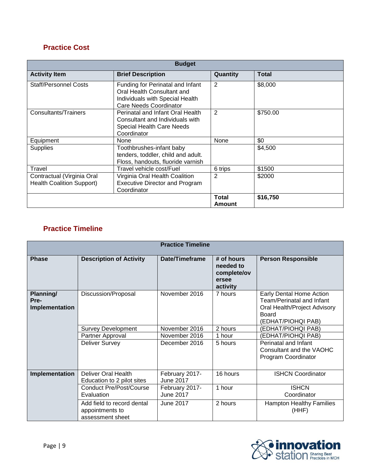# **Practice Cost**

| <b>Budget</b>                                                  |                                                                                                                             |                        |              |  |
|----------------------------------------------------------------|-----------------------------------------------------------------------------------------------------------------------------|------------------------|--------------|--|
| <b>Activity Item</b>                                           | <b>Brief Description</b>                                                                                                    | Quantity               | <b>Total</b> |  |
| <b>Staff/Personnel Costs</b>                                   | Funding for Perinatal and Infant<br>Oral Health Consultant and<br>Individuals with Special Health<br>Care Needs Coordinator | 2                      | \$8,000      |  |
| Consultants/Trainers                                           | Perinatal and Infant Oral Health<br>Consultant and Individuals with<br><b>Special Health Care Needs</b><br>Coordinator      | 2                      | \$750.00     |  |
| Equipment                                                      | None                                                                                                                        | None                   | \$0          |  |
| Supplies                                                       | Toothbrushes-infant baby<br>tenders, toddler, child and adult.<br>Floss, handouts, fluoride varnish                         |                        | \$4,500      |  |
| Travel                                                         | Travel vehicle cost/Fuel                                                                                                    | 6 trips                | \$1500       |  |
| Contractual (Virginia Oral<br><b>Health Coalition Support)</b> | Virginia Oral Health Coalition<br><b>Executive Director and Program</b><br>Coordinator                                      | 2                      | \$2000       |  |
|                                                                |                                                                                                                             | <b>Total</b><br>Amount | \$16,750     |  |

# **Practice Timeline**

| <b>Practice Timeline</b>            |                                                                   |                                    |                                                             |                                                                                                                      |  |
|-------------------------------------|-------------------------------------------------------------------|------------------------------------|-------------------------------------------------------------|----------------------------------------------------------------------------------------------------------------------|--|
| <b>Phase</b>                        | <b>Description of Activity</b>                                    | Date/Timeframe                     | # of hours<br>needed to<br>complete/ov<br>ersee<br>activity | <b>Person Responsible</b>                                                                                            |  |
| Planning/<br>Pre-<br>Implementation | Discussion/Proposal                                               | November 2016                      | 7 hours                                                     | Early Dental Home Action<br>Team/Perinatal and Infant<br>Oral Health/Project Advisory<br>Board<br>(EDHAT/PIOHQI PAB) |  |
|                                     | <b>Survey Development</b>                                         | November 2016                      | 2 hours                                                     | (EDHAT/PIOHQI PAB)                                                                                                   |  |
|                                     | Partner Approval                                                  | November 2016                      | 1 hour                                                      | (EDHAT/PIOHQI PAB)                                                                                                   |  |
|                                     | <b>Deliver Survey</b>                                             | December 2016                      | 5 hours                                                     | Perinatal and Infant<br>Consultant and the VAOHC<br>Program Coordinator                                              |  |
| Implementation                      | <b>Deliver Oral Health</b><br>Education to 2 pilot sites          | February 2017-<br><b>June 2017</b> | 16 hours                                                    | <b>ISHCN Coordinator</b>                                                                                             |  |
|                                     | Conduct Pre/Post/Course<br>Evaluation                             | February 2017-<br><b>June 2017</b> | 1 hour                                                      | <b>ISHCN</b><br>Coordinator                                                                                          |  |
|                                     | Add field to record dental<br>appointments to<br>assessment sheet | <b>June 2017</b>                   | 2 hours                                                     | <b>Hampton Healthy Families</b><br>(HHF)                                                                             |  |

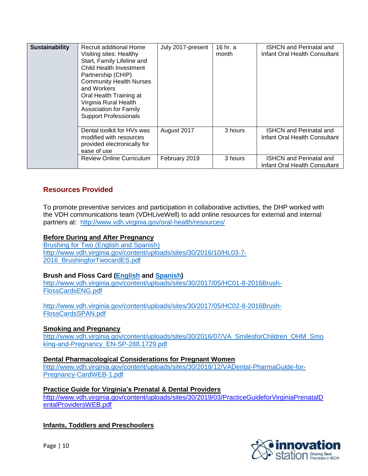| Sustainability | Recruit additional Home<br>Visiting sites: Healthy<br>Start, Family Lifeline and<br>Child Health Investment<br>Partnership (CHIP)<br><b>Community Health Nurses</b><br>and Workers<br>Oral Health Training at<br>Virginia Rural Health<br><b>Association for Family</b><br><b>Support Professionals</b> | July 2017-present | 16 hr. a<br>month | <b>ISHCN and Perinatal and</b><br>Infant Oral Health Consultant |
|----------------|---------------------------------------------------------------------------------------------------------------------------------------------------------------------------------------------------------------------------------------------------------------------------------------------------------|-------------------|-------------------|-----------------------------------------------------------------|
|                | Dental toolkit for HVs was<br>modified with resources<br>provided electronically for<br>ease of use                                                                                                                                                                                                     | August 2017       | 3 hours           | <b>ISHCN and Perinatal and</b><br>Infant Oral Health Consultant |
|                | <b>Review Online Curriculum</b>                                                                                                                                                                                                                                                                         | February 2019     | 3 hours           | <b>ISHCN and Perinatal and</b><br>Infant Oral Health Consultant |

## **Resources Provided**

To promote preventive services and participation in collaborative activities, the DHP worked with the VDH communications team (VDHLiveWell) to add online resources for external and internal partners at: <http://www.vdh.virginia.gov/oral-health/resources/>

### **Before During and After Pregnancy**

[Brushing for Two \(English and Spanish\)](http://www.vdh.virginia.gov/content/uploads/sites/30/2016/10/HL03-7-2016_BrushingforTwocardES.pdf) http://www.vdh.virginia.gov/content/uploads/sites/30/2016/10/HL03-7- 2016\_BrushingforTwocardES.pdf

#### **Brush and Floss Card [\(English](http://www.vdh.virginia.gov/content/uploads/sites/30/2017/05/HC01-8-2016Brush-FlossCardsENG.pdf) and [Spanish\)](http://www.vdh.virginia.gov/content/uploads/sites/30/2017/05/HC02-8-2016Brush-FlossCardsSPAN.pdf)**

[http://www.vdh.virginia.gov/content/uploads/sites/30/2017/05/HC01-8-2016Brush-](http://www.vdh.virginia.gov/content/uploads/sites/30/2017/05/HC01-8-2016Brush-FlossCardsENG.pdf)[FlossCardsENG.pdf](http://www.vdh.virginia.gov/content/uploads/sites/30/2017/05/HC01-8-2016Brush-FlossCardsENG.pdf)

[http://www.vdh.virginia.gov/content/uploads/sites/30/2017/05/HC02-8-2016Brush-](http://www.vdh.virginia.gov/content/uploads/sites/30/2017/05/HC02-8-2016Brush-FlossCardsSPAN.pdf)[FlossCardsSPAN.pdf](http://www.vdh.virginia.gov/content/uploads/sites/30/2017/05/HC02-8-2016Brush-FlossCardsSPAN.pdf)

#### **[Smoking and Pregnancy](http://www.vdh.virginia.gov/content/uploads/sites/30/2016/07/VA_SmilesforChildren_OHM_Smoking-and-Pregnancy_EN-SP-288.1729.pdf)**

[http://www.vdh.virginia.gov/content/uploads/sites/30/2016/07/VA\\_SmilesforChildren\\_OHM\\_Smo](http://www.vdh.virginia.gov/content/uploads/sites/30/2016/07/VA_SmilesforChildren_OHM_Smoking-and-Pregnancy_EN-SP-288.1729.pdf) [king-and-Pregnancy\\_EN-SP-288.1729.pdf](http://www.vdh.virginia.gov/content/uploads/sites/30/2016/07/VA_SmilesforChildren_OHM_Smoking-and-Pregnancy_EN-SP-288.1729.pdf)

#### **[Dental Pharmacological Considerations for Pregnant Women](http://www.vdh.virginia.gov/content/uploads/sites/30/2018/12/VADental-PharmaGuide-for-Pregnancy-CardWEB-1.pdf)**

[http://www.vdh.virginia.gov/content/uploads/sites/30/2018/12/VADental-PharmaGuide-for-](http://www.vdh.virginia.gov/content/uploads/sites/30/2018/12/VADental-PharmaGuide-for-Pregnancy-CardWEB-1.pdf)[Pregnancy-CardWEB-1.pdf](http://www.vdh.virginia.gov/content/uploads/sites/30/2018/12/VADental-PharmaGuide-for-Pregnancy-CardWEB-1.pdf)

#### **Practice Guide for Virginia's [Prenatal & Dental Providers](http://www.vdh.virginia.gov/content/uploads/sites/30/2019/03/PracticeGuideforVirginiaPrenatalDentalProvidersWEB.pdf)**

http://www.vdh.virginia.gov/content/uploads/sites/30/2019/03/PracticeGuideforVirginiaPrenatalD entalProvidersWEB.pdf

#### **Infants, Toddlers and Preschoolers**

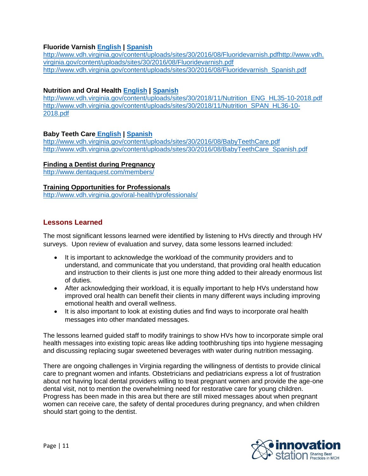### **Fluoride Varnish [English](http://www.vdh.virginia.gov/content/uploads/sites/30/2016/08/Fluoridevarnish.pdf) | [Spanish](http://www.vdh.virginia.gov/content/uploads/sites/30/2016/08/Fluoridevarnish_Spanish.pdf)**

[http://www.vdh.virginia.gov/content/uploads/sites/30/2016/08/Fluoridevarnish.pdfhttp://www.vdh.](http://www.vdh.virginia.gov/content/uploads/sites/30/2016/08/Fluoridevarnish.pdfhttp:/www.vdh.virginia.gov/content/uploads/sites/30/2016/08/Fluoridevarnish.pdf) [virginia.gov/content/uploads/sites/30/2016/08/Fluoridevarnish.pdf](http://www.vdh.virginia.gov/content/uploads/sites/30/2016/08/Fluoridevarnish.pdfhttp:/www.vdh.virginia.gov/content/uploads/sites/30/2016/08/Fluoridevarnish.pdf) http://www.vdh.virginia.gov/content/uploads/sites/30/2016/08/Fluoridevarnish\_Spanish.pdf

### **Nutrition and Oral Health [English](http://www.vdh.virginia.gov/content/uploads/sites/30/2018/11/Nutrition_ENG_HL35-10-2018.pdf) | [Spanish](http://www.vdh.virginia.gov/content/uploads/sites/30/2018/11/Nutrition_SPAN_HL36-10-2018.pdf)**

[http://www.vdh.virginia.gov/content/uploads/sites/30/2018/11/Nutrition\\_ENG\\_HL35-10-2018.pdf](http://www.vdh.virginia.gov/content/uploads/sites/30/2018/11/Nutrition_ENG_HL35-10-2018.pdf) [http://www.vdh.virginia.gov/content/uploads/sites/30/2018/11/Nutrition\\_SPAN\\_HL36-10-](http://www.vdh.virginia.gov/content/uploads/sites/30/2018/11/Nutrition_SPAN_HL36-10-2018.pdf) [2018.pdf](http://www.vdh.virginia.gov/content/uploads/sites/30/2018/11/Nutrition_SPAN_HL36-10-2018.pdf)

### **Baby Teeth Care [English](http://www.vdh.virginia.gov/content/uploads/sites/30/2016/08/BabyTeethCare.pdf) | [Spanish](http://www.vdh.virginia.gov/content/uploads/sites/30/2016/08/BabyTeethCare_Spanish.pdf)**

<http://www.vdh.virginia.gov/content/uploads/sites/30/2016/08/BabyTeethCare.pdf> [http://www.vdh.virginia.gov/content/uploads/sites/30/2016/08/BabyTeethCare\\_Spanish.pdf](http://www.vdh.virginia.gov/content/uploads/sites/30/2016/08/BabyTeethCare_Spanish.pdf)

### **[Finding a Dentist during](http://www.dentaquest.com/members/) Pregnancy**

http://www.dentaquest.com/members/

#### **[Training Opportunities for Professionals](http://www.vdh.virginia.gov/oral-health/professionals/)**

<http://www.vdh.virginia.gov/oral-health/professionals/>

## **Lessons Learned**

The most significant lessons learned were identified by listening to HVs directly and through HV surveys. Upon review of evaluation and survey, data some lessons learned included:

- It is important to acknowledge the workload of the community providers and to understand, and communicate that you understand, that providing oral health education and instruction to their clients is just one more thing added to their already enormous list of duties.
- After acknowledging their workload, it is equally important to help HVs understand how improved oral health can benefit their clients in many different ways including improving emotional health and overall wellness.
- It is also important to look at existing duties and find ways to incorporate oral health messages into other mandated messages.

The lessons learned guided staff to modify trainings to show HVs how to incorporate simple oral health messages into existing topic areas like adding toothbrushing tips into hygiene messaging and discussing replacing sugar sweetened beverages with water during nutrition messaging.

There are ongoing challenges in Virginia regarding the willingness of dentists to provide clinical care to pregnant women and infants. Obstetricians and pediatricians express a lot of frustration about not having local dental providers willing to treat pregnant women and provide the age-one dental visit, not to mention the overwhelming need for restorative care for young children. Progress has been made in this area but there are still mixed messages about when pregnant women can receive care, the safety of dental procedures during pregnancy, and when children should start going to the dentist.